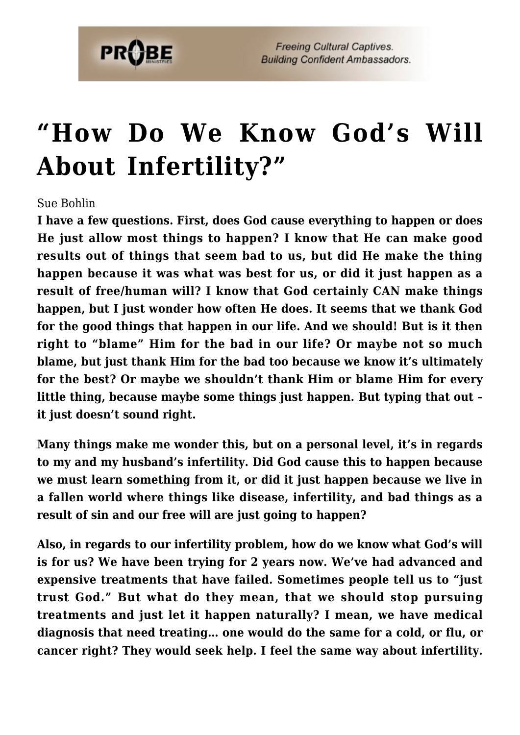

## **["How Do We Know God's Will](https://probe.org/how-do-we-know-gods-will-about-infertility/) [About Infertility?"](https://probe.org/how-do-we-know-gods-will-about-infertility/)**

## Sue Bohlin

**I have a few questions. First, does God cause everything to happen or does He just allow most things to happen? I know that He can make good results out of things that seem bad to us, but did He make the thing happen because it was what was best for us, or did it just happen as a result of free/human will? I know that God certainly CAN make things happen, but I just wonder how often He does. It seems that we thank God for the good things that happen in our life. And we should! But is it then right to "blame" Him for the bad in our life? Or maybe not so much blame, but just thank Him for the bad too because we know it's ultimately for the best? Or maybe we shouldn't thank Him or blame Him for every little thing, because maybe some things just happen. But typing that out – it just doesn't sound right.**

**Many things make me wonder this, but on a personal level, it's in regards to my and my husband's infertility. Did God cause this to happen because we must learn something from it, or did it just happen because we live in a fallen world where things like disease, infertility, and bad things as a result of sin and our free will are just going to happen?**

**Also, in regards to our infertility problem, how do we know what God's will is for us? We have been trying for 2 years now. We've had advanced and expensive treatments that have failed. Sometimes people tell us to "just trust God." But what do they mean, that we should stop pursuing treatments and just let it happen naturally? I mean, we have medical diagnosis that need treating… one would do the same for a cold, or flu, or cancer right? They would seek help. I feel the same way about infertility.**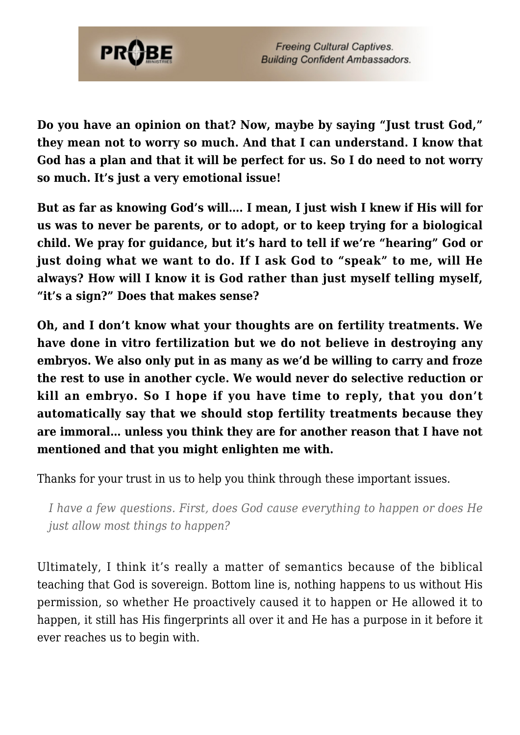

**Do you have an opinion on that? Now, maybe by saying "Just trust God," they mean not to worry so much. And that I can understand. I know that God has a plan and that it will be perfect for us. So I do need to not worry so much. It's just a very emotional issue!**

**But as far as knowing God's will…. I mean, I just wish I knew if His will for us was to never be parents, or to adopt, or to keep trying for a biological child. We pray for guidance, but it's hard to tell if we're "hearing" God or just doing what we want to do. If I ask God to "speak" to me, will He always? How will I know it is God rather than just myself telling myself, "it's a sign?" Does that makes sense?**

**Oh, and I don't know what your thoughts are on fertility treatments. We have done in vitro fertilization but we do not believe in destroying any embryos. We also only put in as many as we'd be willing to carry and froze the rest to use in another cycle. We would never do selective reduction or kill an embryo. So I hope if you have time to reply, that you don't automatically say that we should stop fertility treatments because they are immoral… unless you think they are for another reason that I have not mentioned and that you might enlighten me with.**

Thanks for your trust in us to help you think through these important issues.

*I have a few questions. First, does God cause everything to happen or does He just allow most things to happen?*

Ultimately, I think it's really a matter of semantics because of the biblical teaching that God is sovereign. Bottom line is, nothing happens to us without His permission, so whether He proactively caused it to happen or He allowed it to happen, it still has His fingerprints all over it and He has a purpose in it before it ever reaches us to begin with.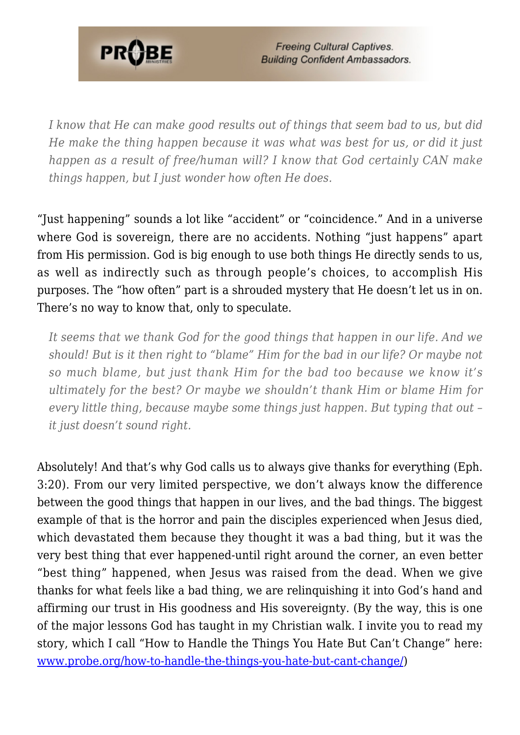

**Freeing Cultural Captives. Building Confident Ambassadors.** 

*I know that He can make good results out of things that seem bad to us, but did He make the thing happen because it was what was best for us, or did it just happen as a result of free/human will? I know that God certainly CAN make things happen, but I just wonder how often He does.*

"Just happening" sounds a lot like "accident" or "coincidence." And in a universe where God is sovereign, there are no accidents. Nothing "just happens" apart from His permission. God is big enough to use both things He directly sends to us, as well as indirectly such as through people's choices, to accomplish His purposes. The "how often" part is a shrouded mystery that He doesn't let us in on. There's no way to know that, only to speculate.

*It seems that we thank God for the good things that happen in our life. And we should! But is it then right to "blame" Him for the bad in our life? Or maybe not so much blame, but just thank Him for the bad too because we know it's ultimately for the best? Or maybe we shouldn't thank Him or blame Him for every little thing, because maybe some things just happen. But typing that out – it just doesn't sound right.*

Absolutely! And that's why God calls us to always give thanks for everything (Eph. 3:20). From our very limited perspective, we don't always know the difference between the good things that happen in our lives, and the bad things. The biggest example of that is the horror and pain the disciples experienced when Jesus died, which devastated them because they thought it was a bad thing, but it was the very best thing that ever happened-until right around the corner, an even better "best thing" happened, when Jesus was raised from the dead. When we give thanks for what feels like a bad thing, we are relinquishing it into God's hand and affirming our trust in His goodness and His sovereignty. (By the way, this is one of the major lessons God has taught in my Christian walk. I invite you to read my story, which I call "How to Handle the Things You Hate But Can't Change" here: [www.probe.org/how-to-handle-the-things-you-hate-but-cant-change/](https://www.probe.org/how-to-handle-the-things-you-hate-but-cant-change/))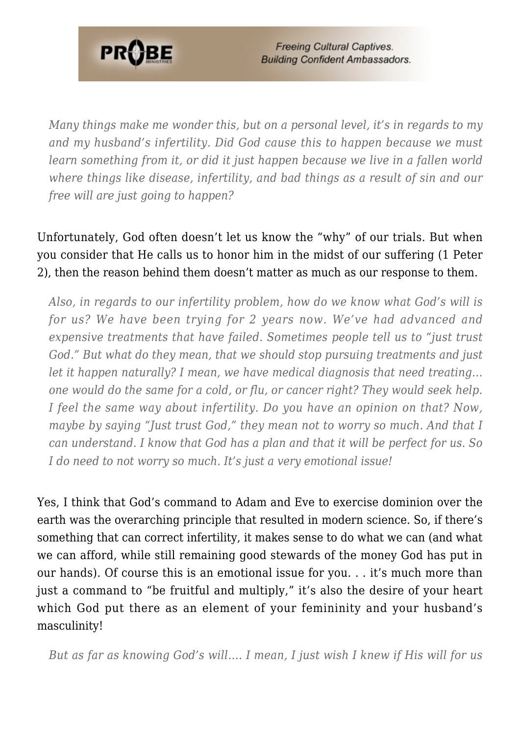

**Freeing Cultural Captives. Building Confident Ambassadors.** 

*Many things make me wonder this, but on a personal level, it's in regards to my and my husband's infertility. Did God cause this to happen because we must learn something from it, or did it just happen because we live in a fallen world where things like disease, infertility, and bad things as a result of sin and our free will are just going to happen?*

Unfortunately, God often doesn't let us know the "why" of our trials. But when you consider that He calls us to honor him in the midst of our suffering (1 Peter 2), then the reason behind them doesn't matter as much as our response to them.

*Also, in regards to our infertility problem, how do we know what God's will is for us? We have been trying for 2 years now. We've had advanced and expensive treatments that have failed. Sometimes people tell us to "just trust God." But what do they mean, that we should stop pursuing treatments and just let it happen naturally? I mean, we have medical diagnosis that need treating… one would do the same for a cold, or flu, or cancer right? They would seek help. I feel the same way about infertility. Do you have an opinion on that? Now, maybe by saying "Just trust God," they mean not to worry so much. And that I can understand. I know that God has a plan and that it will be perfect for us. So I do need to not worry so much. It's just a very emotional issue!*

Yes, I think that God's command to Adam and Eve to exercise dominion over the earth was the overarching principle that resulted in modern science. So, if there's something that can correct infertility, it makes sense to do what we can (and what we can afford, while still remaining good stewards of the money God has put in our hands). Of course this is an emotional issue for you. . . it's much more than just a command to "be fruitful and multiply," it's also the desire of your heart which God put there as an element of your femininity and your husband's masculinity!

*But as far as knowing God's will…. I mean, I just wish I knew if His will for us*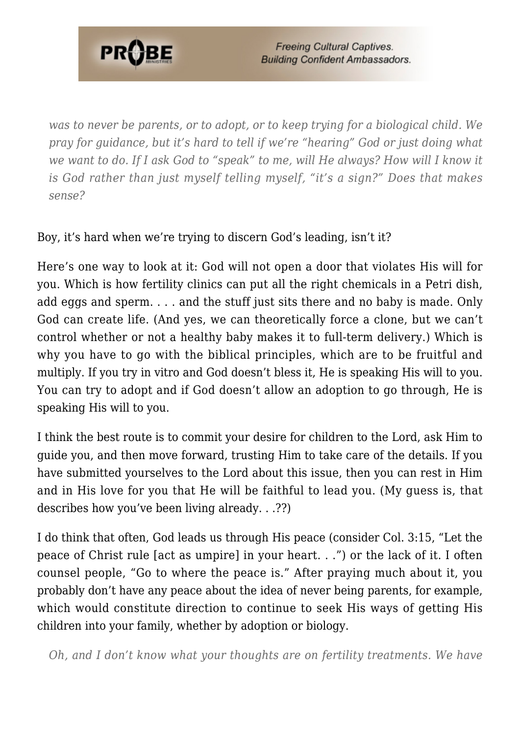

**Freeing Cultural Captives. Building Confident Ambassadors.** 

*was to never be parents, or to adopt, or to keep trying for a biological child. We pray for guidance, but it's hard to tell if we're "hearing" God or just doing what we want to do. If I ask God to "speak" to me, will He always? How will I know it is God rather than just myself telling myself, "it's a sign?" Does that makes sense?*

Boy, it's hard when we're trying to discern God's leading, isn't it?

Here's one way to look at it: God will not open a door that violates His will for you. Which is how fertility clinics can put all the right chemicals in a Petri dish, add eggs and sperm. . . . and the stuff just sits there and no baby is made. Only God can create life. (And yes, we can theoretically force a clone, but we can't control whether or not a healthy baby makes it to full-term delivery.) Which is why you have to go with the biblical principles, which are to be fruitful and multiply. If you try in vitro and God doesn't bless it, He is speaking His will to you. You can try to adopt and if God doesn't allow an adoption to go through, He is speaking His will to you.

I think the best route is to commit your desire for children to the Lord, ask Him to guide you, and then move forward, trusting Him to take care of the details. If you have submitted yourselves to the Lord about this issue, then you can rest in Him and in His love for you that He will be faithful to lead you. (My guess is, that describes how you've been living already. . .??)

I do think that often, God leads us through His peace (consider Col. 3:15, "Let the peace of Christ rule [act as umpire] in your heart. . .") or the lack of it. I often counsel people, "Go to where the peace is." After praying much about it, you probably don't have any peace about the idea of never being parents, for example, which would constitute direction to continue to seek His ways of getting His children into your family, whether by adoption or biology.

*Oh, and I don't know what your thoughts are on fertility treatments. We have*